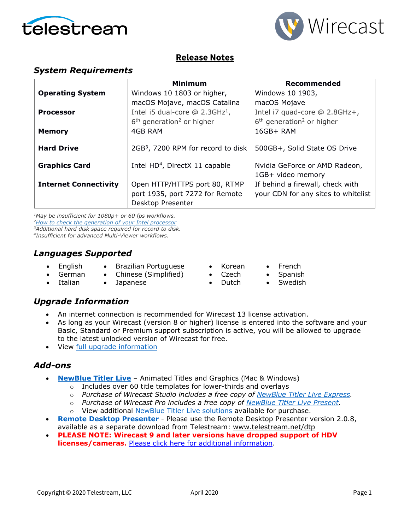



### **Release Notes**

### *System Requirements*

|                              | <b>Minimum</b>                                                                        | <b>Recommended</b>                                                      |
|------------------------------|---------------------------------------------------------------------------------------|-------------------------------------------------------------------------|
| <b>Operating System</b>      | Windows 10 1803 or higher,                                                            | Windows 10 1903,                                                        |
|                              | macOS Mojave, macOS Catalina                                                          | macOS Mojave                                                            |
| <b>Processor</b>             | Intel i5 dual-core $@$ 2.3GHz <sup>1</sup> ,                                          | Intel i7 quad-core @ 2.8GHz+,                                           |
|                              | $6th$ generation <sup>2</sup> or higher                                               | $6th$ generation <sup>2</sup> or higher                                 |
| <b>Memory</b>                | 4GB RAM                                                                               | 16GB+ RAM                                                               |
| <b>Hard Drive</b>            | 2GB <sup>3</sup> , 7200 RPM for record to disk                                        | 500GB+, Solid State OS Drive                                            |
| <b>Graphics Card</b>         | Intel HD <sup>4</sup> , DirectX 11 capable                                            | Nvidia GeForce or AMD Radeon,<br>1GB+ video memory                      |
| <b>Internet Connectivity</b> | Open HTTP/HTTPS port 80, RTMP<br>port 1935, port 7272 for Remote<br>Desktop Presenter | If behind a firewall, check with<br>your CDN for any sites to whitelist |

*1May be insufficient for 1080p+ or 60 fps workflows. [2How to check the generation of your Intel](http://www.telestream.net/telestream-support/wire-cast/faq.htm?kbURL=http://telestream.force.com/kb/articles/Knowledge_Article/Wirecast-How-to-check-the-generation-of-your-Intel-processor/) processor 3Additional hard disk space required for record to disk.*

*4Insufficient for advanced Multi-Viewer workflows.*

### *Languages Supported*

- English
- Brazilian Portuguese
- Chinese (Simplified)
- German • Italian • Japanese
- Korean • Czech
- French • Spanish
- Dutch • Swedish

### *Upgrade Information*

- An internet connection is recommended for Wirecast 13 license activation.
- As long as your Wirecast (version 8 or higher) license is entered into the software and your Basic, Standard or Premium support subscription is active, you will be allowed to upgrade to the latest unlocked version of Wirecast for free.
- View [full upgrade information](http://www.telestream.net/wirecast/upgrade.htm#upgrade)

### *Add-ons*

- **[NewBlue Titler Live](http://www.telestream.net/wirecast/newblue.htm)** Animated Titles and Graphics (Mac & Windows)
	- o Includes over 60 title templates for lower-thirds and overlays
	- o *Purchase of Wirecast Studio includes a free copy of [NewBlue Titler Live Express.](https://www.telestream.net/wirecast/newblue.htm#buy)*
	- o *Purchase of Wirecast Pro includes a free copy of [NewBlue Titler Live Present.](https://www.telestream.net/wirecast/newblue.htm#present)*
	- o View additional [NewBlue Titler Live solutions](https://www.telestream.net/wirecast/newblue.htm#solutions) available for purchase.
- **[Remote Desktop Presenter](http://www.telestream.net/dtp)** Please use the Remote Desktop Presenter version 2.0.8, available as a separate download from Telestream: [www.telestream.net/dtp](http://www.telestream.net/dtp)
- **PLEASE NOTE: Wirecast 9 and later versions have dropped support of HDV licenses/cameras.** [Please click here for additional information.](http://www.telestream.net/telestream-support/wire-cast/faq.htm?kbURL=http://telestream.force.com/kb/articles/Knowledge_Article/Wirecast-HDV-Firewire-No-longer-Supported/)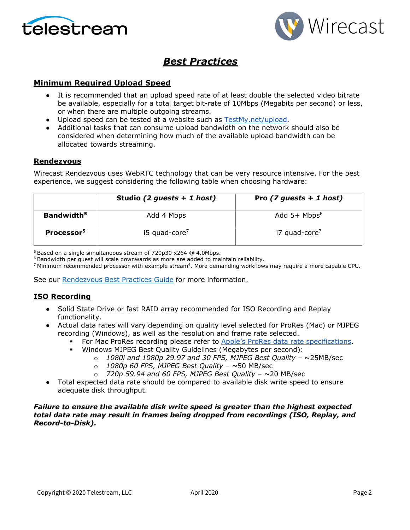



## *Best Practices*

### **Minimum Required Upload Speed**

- It is recommended that an upload speed rate of at least double the selected video bitrate be available, especially for a total target bit-rate of 10Mbps (Megabits per second) or less, or when there are multiple outgoing streams.
- Upload speed can be tested at a website such as [TestMy.net/upload.](http://testmy.net/upload)
- Additional tasks that can consume upload bandwidth on the network should also be considered when determining how much of the available upload bandwidth can be allocated towards streaming.

### **Rendezvous**

Wirecast Rendezvous uses WebRTC technology that can be very resource intensive. For the best experience, we suggest considering the following table when choosing hardware:

|                        | Studio (2 guests $+ 1$ host) | Pro $(7$ guests + 1 host)  |
|------------------------|------------------------------|----------------------------|
| Bandwidth <sup>5</sup> | Add 4 Mbps                   | Add $5+$ Mbps <sup>6</sup> |
| Processor <sup>5</sup> | $15$ quad-core <sup>7</sup>  | i7 quad-core <sup>7</sup>  |

<sup>5</sup> Based on a single simultaneous stream of 720p30 x264 @ 4.0Mbps.

<sup>6</sup> Bandwidth per guest will scale downwards as more are added to maintain reliability.

<sup>7</sup> Minimum recommended processor with example stream<sup>4</sup>. More demanding workflows may require a more capable CPU.

See our [Rendezvous Best Practices Guide](http://www.telestream.net/pdfs/technical/Wirecast-Rendezvous-Best-Practices-Guide.pdf) for more information.

### **ISO Recording**

- Solid State Drive or fast RAID array recommended for ISO Recording and Replay functionality.
- Actual data rates will vary depending on quality level selected for ProRes (Mac) or MJPEG recording (Windows), as well as the resolution and frame rate selected.
	- For Mac ProRes recording please refer to [Apple's ProRes data rate specifications.](https://en.wikipedia.org/wiki/Apple_ProRes#ProRes-Overview)
	- Windows MJPEG Best Quality Guidelines (Megabytes per second):
		- o *1080i and 1080p 29.97 and 30 FPS, MJPEG Best Quality* ~25MB/sec
		- o *1080p 60 FPS, MJPEG Best Quality* ~50 MB/sec
		- o *720p 59.94 and 60 FPS, MJPEG Best Quality* ~20 MB/sec
- Total expected data rate should be compared to available disk write speed to ensure adequate disk throughput.

#### *Failure to ensure the available disk write speed is greater than the highest expected total data rate may result in frames being dropped from recordings (ISO, Replay, and Record-to-Disk).*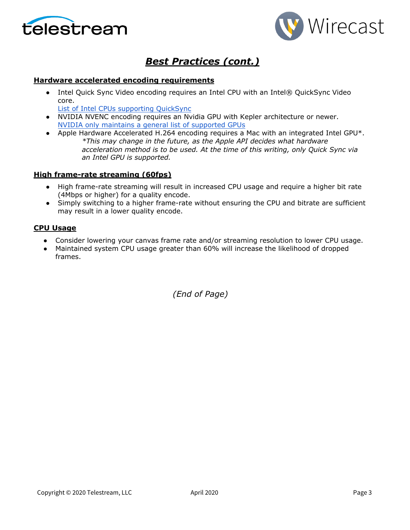



## *Best Practices (cont.)*

### **Hardware accelerated encoding requirements**

• Intel Quick Sync Video encoding requires an Intel CPU with an Intel® QuickSync Video core[.](http://ark.intel.com/search/advanced?QuickSyncVideo=true&MarketSegment=DT)

[List of Intel CPUs supporting QuickSync](https://ark.intel.com/content/www/us/en/ark/search/featurefilter.html?productType=873&0_QuickSyncVideo=True)

- NVIDIA NVENC encoding requires an Nvidia GPU with Kepler architecture or newer[.](https://developer.nvidia.com/nvidia-video-codec-sdk) [NVIDIA only maintains a general list of supported GPUs](https://developer.nvidia.com/nvidia-video-codec-sdk)
- Apple Hardware Accelerated H.264 encoding requires a Mac with an integrated Intel GPU\*. *\*This may change in the future, as the Apple API decides what hardware acceleration method is to be used. At the time of this writing, only Quick Sync via an Intel GPU is supported.*

### **High frame-rate streaming (60fps)**

- High frame-rate streaming will result in increased CPU usage and require a higher bit rate (4Mbps or higher) for a quality encode.
- Simply switching to a higher frame-rate without ensuring the CPU and bitrate are sufficient may result in a lower quality encode.

### **CPU Usage**

- Consider lowering your canvas frame rate and/or streaming resolution to lower CPU usage.
- Maintained system CPU usage greater than 60% will increase the likelihood of dropped frames.

*(End of Page)*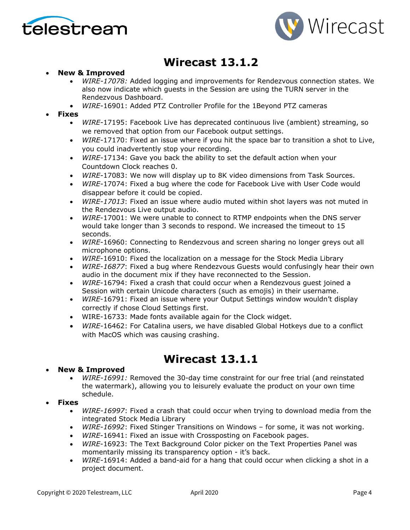



# **Wirecast 13.1.2**

### • **New & Improved**

- *WIRE-17078:* Added logging and improvements for Rendezvous connection states. We also now indicate which guests in the Session are using the TURN server in the Rendezvous Dashboard.
- *WIRE*-16901: Added PTZ Controller Profile for the 1Beyond PTZ cameras
- **Fixes**
	- *WIRE*-17195: Facebook Live has deprecated continuous live (ambient) streaming, so we removed that option from our Facebook output settings.
	- *WIRE*-17170: Fixed an issue where if you hit the space bar to transition a shot to Live, you could inadvertently stop your recording.
	- *WIRE*-17134: Gave you back the ability to set the default action when your Countdown Clock reaches 0.
	- *WIRE*-17083: We now will display up to 8K video dimensions from Task Sources.
	- *WIRE*-17074: Fixed a bug where the code for Facebook Live with User Code would disappear before it could be copied.
	- *WIRE-17013*: Fixed an issue where audio muted within shot layers was not muted in the Rendezvous Live output audio.
	- *WIRE*-17001: We were unable to connect to RTMP endpoints when the DNS server would take longer than 3 seconds to respond. We increased the timeout to 15 seconds.
	- *WIRE*-16960: Connecting to Rendezvous and screen sharing no longer greys out all microphone options.
	- *WIRE*-16910: Fixed the localization on a message for the Stock Media Library
	- *WIRE-16877*: Fixed a bug where Rendezvous Guests would confusingly hear their own audio in the document mix if they have reconnected to the Session.
	- *WIRE*-16794: Fixed a crash that could occur when a Rendezvous guest joined a Session with certain Unicode characters (such as emojis) in their username.
	- *WIRE*-16791: Fixed an issue where your Output Settings window wouldn't display correctly if chose Cloud Settings first.
	- WIRE-16733: Made fonts available again for the Clock widget.
	- *WIRE*-16462: For Catalina users, we have disabled Global Hotkeys due to a conflict with MacOS which was causing crashing.

## **Wirecast 13.1.1**

### • **New & Improved**

- *WIRE-16991:* Removed the 30-day time constraint for our free trial (and reinstated the watermark), allowing you to leisurely evaluate the product on your own time schedule.
- **Fixes**
	- *WIRE-16997*: Fixed a crash that could occur when trying to download media from the integrated Stock Media Library
	- *WIRE-16992*: Fixed Stinger Transitions on Windows for some, it was not working.
	- *WIRE*-16941: Fixed an issue with Crossposting on Facebook pages.
	- *WIRE*-16923: The Text Background Color picker on the Text Properties Panel was momentarily missing its transparency option - it's back.
	- *WIRE*-16914: Added a band-aid for a hang that could occur when clicking a shot in a project document.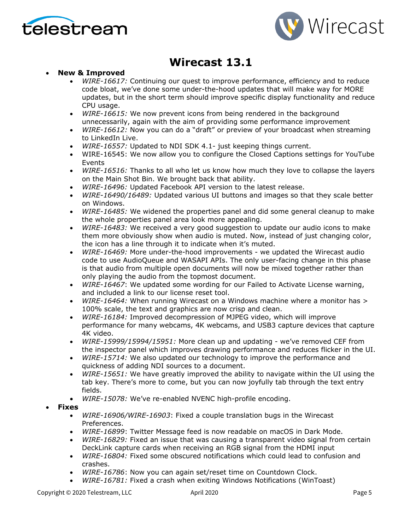



# **Wirecast 13.1**

### • **New & Improved**

- *WIRE-16617:* Continuing our quest to improve performance, efficiency and to reduce code bloat, we've done some under-the-hood updates that will make way for MORE updates, but in the short term should improve specific display functionality and reduce CPU usage.
- *WIRE-16615:* We now prevent icons from being rendered in the background unnecessarily, again with the aim of providing some performance improvement
- *WIRE-16612:* Now you can do a "draft" or preview of your broadcast when streaming to LinkedIn Live.
- *WIRE-16557:* Updated to NDI SDK 4.1- just keeping things current.
- WIRE-16545: We now allow you to configure the Closed Captions settings for YouTube Events
- *WIRE-16516:* Thanks to all who let us know how much they love to collapse the layers on the Main Shot Bin. We brought back that ability.
- *WIRE-16496:* Updated Facebook API version to the latest release.
- *WIRE-16490/16489:* Updated various UI buttons and images so that they scale better on Windows.
- *WIRE-16485:* We widened the properties panel and did some general cleanup to make the whole properties panel area look more appealing.
- *WIRE-16483:* We received a very good suggestion to update our audio icons to make them more obviously show when audio is muted. Now, instead of just changing color, the icon has a line through it to indicate when it's muted.
- *WIRE-16469:* More under-the-hood improvements we updated the Wirecast audio code to use AudioQueue and WASAPI APIs. The only user-facing change in this phase is that audio from multiple open documents will now be mixed together rather than only playing the audio from the topmost document.
- *WIRE-16467*: We updated some wording for our Failed to Activate License warning, and included a link to our license reset tool.
- *WIRE-16464:* When running Wirecast on a Windows machine where a monitor has > 100% scale, the text and graphics are now crisp and clean.
- *WIRE-16184:* Improved decompression of MJPEG video, which will improve performance for many webcams, 4K webcams, and USB3 capture devices that capture 4K video.
- *WIRE-15999/15994/15951:* More clean up and updating we've removed CEF from the inspector panel which improves drawing performance and reduces flicker in the UI.
- *WIRE-15714:* We also updated our technology to improve the performance and quickness of adding NDI sources to a document.
- *WIRE-15651:* We have greatly improved the ability to navigate within the UI using the tab key. There's more to come, but you can now joyfully tab through the text entry fields.
- *WIRE-15078:* We've re-enabled NVENC high-profile encoding.
- **Fixes**
	- *WIRE-16906/WIRE-16903*: Fixed a couple translation bugs in the Wirecast Preferences.
	- *WIRE-16899*: Twitter Message feed is now readable on macOS in Dark Mode.
	- *WIRE-16829:* Fixed an issue that was causing a transparent video signal from certain DeckLink capture cards when receiving an RGB signal from the HDMI input
	- *WIRE-16804:* Fixed some obscured notifications which could lead to confusion and crashes.
	- *WIRE-16786*: Now you can again set/reset time on Countdown Clock.
	- *WIRE-16781:* Fixed a crash when exiting Windows Notifications (WinToast)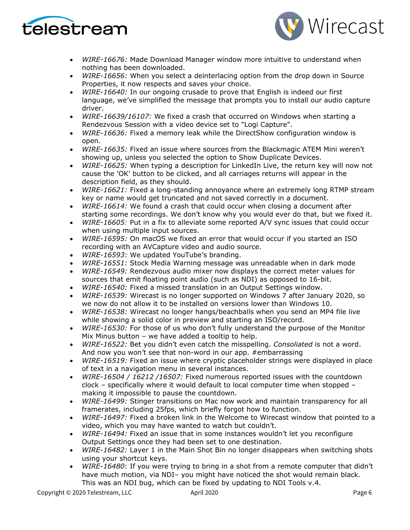



- *WIRE-16676:* Made Download Manager window more intuitive to understand when nothing has been downloaded.
- *WIRE-16656:* When you select a deinterlacing option from the drop down in Source Properties, it now respects and saves your choice.
- *WIRE-16640:* In our ongoing crusade to prove that English is indeed our first language, we've simplified the message that prompts you to install our audio capture driver.
- *WIRE-16639/16107:* We fixed a crash that occurred on Windows when starting a Rendezvous Session with a video device set to "Logi Capture".
- *WIRE-16636:* Fixed a memory leak while the DirectShow configuration window is open.
- *WIRE-16635:* Fixed an issue where sources from the Blackmagic ATEM Mini weren't showing up, unless you selected the option to Show Duplicate Devices.
- *WIRE-16625:* When typing a description for LinkedIn Live, the return key will now not cause the 'OK' button to be clicked, and all carriages returns will appear in the description field, as they should.
- *WIRE-16621:* Fixed a long-standing annoyance where an extremely long RTMP stream key or name would get truncated and not saved correctly in a document.
- *WIRE-16614:* We found a crash that could occur when closing a document after starting some recordings. We don't know why you would ever do that, but we fixed it.
- *WIRE-16605:* Put in a fix to alleviate some reported A/V sync issues that could occur when using multiple input sources.
- *WIRE-16595:* On macOS we fixed an error that would occur if you started an ISO recording with an AVCapture video and audio source.
- *WIRE-16593*: We updated YouTube's branding.
- *WIRE-16551:* Stock Media Warning message was unreadable when in dark mode
- *WIRE-16549:* Rendezvous audio mixer now displays the correct meter values for sources that emit floating point audio (such as NDI) as opposed to 16-bit.
- *WIRE-16540:* Fixed a missed translation in an Output Settings window.
- *WIRE-16539:* Wirecast is no longer supported on Windows 7 after January 2020, so we now do not allow it to be installed on versions lower than Windows 10.
- *WIRE-16538:* Wirecast no longer hangs/beachballs when you send an MP4 file live while showing a solid color in preview and starting an ISO/record.
- *WIRE-16530:* For those of us who don't fully understand the purpose of the Monitor Mix Minus button – we have added a tooltip to help.
- *WIRE-16522:* Bet you didn't even catch the misspelling. *Consoliated* is not a word. And now you won't see that non-word in our app. #embarrassing
- *WIRE-16519:* Fixed an issue where cryptic placeholder strings were displayed in place of text in a navigation menu in several instances.
- *WIRE-16504 / 16212 /16507:* Fixed numerous reported issues with the countdown clock – specifically where it would default to local computer time when stopped – making it impossible to pause the countdown.
- *WIRE-16499:* Stinger transitions on Mac now work and maintain transparency for all framerates, including 25fps, which briefly forgot how to function.
- *WIRE-16497:* Fixed a broken link in the Welcome to Wirecast window that pointed to a video, which you may have wanted to watch but couldn't.
- *WIRE-16494:* Fixed an issue that in some instances wouldn't let you reconfigure Output Settings once they had been set to one destination.
- *WIRE-16482:* Layer 1 in the Main Shot Bin no longer disappears when switching shots using your shortcut keys.
- *WIRE-16480*: If you were trying to bring in a shot from a remote computer that didn't have much motion, via NDI- you might have noticed the shot would remain black. This was an NDI bug, which can be fixed by updating to NDI Tools v.4.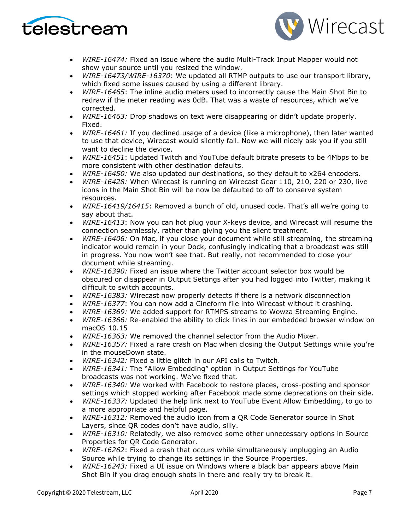



- *WIRE-16474:* Fixed an issue where the audio Multi-Track Input Mapper would not show your source until you resized the window.
- *WIRE-16473/WIRE-16370*: We updated all RTMP outputs to use our transport library, which fixed some issues caused by using a different library.
- *WIRE-16465*: The inline audio meters used to incorrectly cause the Main Shot Bin to redraw if the meter reading was 0dB. That was a waste of resources, which we've corrected.
- *WIRE-16463:* Drop shadows on text were disappearing or didn't update properly. Fixed.
- *WIRE-16461:* If you declined usage of a device (like a microphone), then later wanted to use that device, Wirecast would silently fail. Now we will nicely ask you if you still want to decline the device.
- *WIRE-16451*: Updated Twitch and YouTube default bitrate presets to be 4Mbps to be more consistent with other destination defaults.
- *WIRE-16450:* We also updated our destinations, so they default to x264 encoders.
- *WIRE-16428:* When Wirecast is running on Wirecast Gear 110, 210, 220 or 230, live icons in the Main Shot Bin will be now be defaulted to off to conserve system resources.
- *WIRE-16419/16415*: Removed a bunch of old, unused code. That's all we're going to say about that.
- *WIRE-16413*: Now you can hot plug your X-keys device, and Wirecast will resume the connection seamlessly, rather than giving you the silent treatment.
- *WIRE-16406:* On Mac, if you close your document while still streaming, the streaming indicator would remain in your Dock, confusingly indicating that a broadcast was still in progress. You now won't see that. But really, not recommended to close your document while streaming.
- *WIRE-16390:* Fixed an issue where the Twitter account selector box would be obscured or disappear in Output Settings after you had logged into Twitter, making it difficult to switch accounts.
- *WIRE-16383:* Wirecast now properly detects if there is a network disconnection
- *WIRE-16377*: You can now add a Cineform file into Wirecast without it crashing.
- *WIRE-16369:* We added support for RTMPS streams to Wowza Streaming Engine.
- *WIRE-16366:* Re-enabled the ability to click links in our embedded browser window on macOS 10.15
- *WIRE-16363:* We removed the channel selector from the Audio Mixer.
- *WIRE-16357:* Fixed a rare crash on Mac when closing the Output Settings while you're in the mouseDown state.
- *WIRE-16342:* Fixed a little glitch in our API calls to Twitch.
- *WIRE-16341:* The "Allow Embedding" option in Output Settings for YouTube broadcasts was not working. We've fixed that.
- *WIRE-16340:* We worked with Facebook to restore places, cross-posting and sponsor settings which stopped working after Facebook made some deprecations on their side.
- *WIRE-16337:* Updated the help link next to YouTube Event Allow Embedding, to go to a more appropriate and helpful page.
- *WIRE-16312:* Removed the audio icon from a QR Code Generator source in Shot Layers, since QR codes don't have audio, silly.
- *WIRE-16310:* Relatedly, we also removed some other unnecessary options in Source Properties for QR Code Generator.
- *WIRE-16262*: Fixed a crash that occurs while simultaneously unplugging an Audio Source while trying to change its settings in the Source Properties.
- *WIRE-16243:* Fixed a UI issue on Windows where a black bar appears above Main Shot Bin if you drag enough shots in there and really try to break it.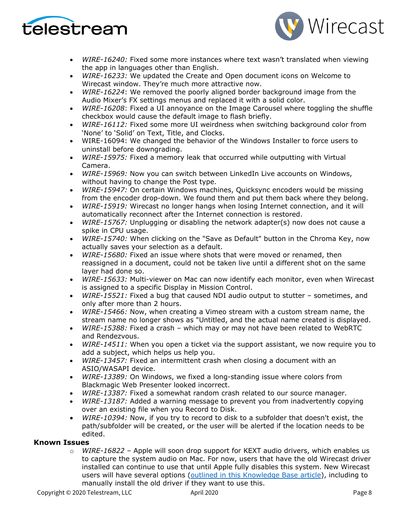



- *WIRE-16240:* Fixed some more instances where text wasn't translated when viewing the app in languages other than English.
- *WIRE-16233:* We updated the Create and Open document icons on Welcome to Wirecast window. They're much more attractive now.
- *WIRE-16224*: We removed the poorly aligned border background image from the Audio Mixer's FX settings menus and replaced it with a solid color.
- *WIRE-16208*: Fixed a UI annoyance on the Image Carousel where toggling the shuffle checkbox would cause the default image to flash briefly.
- *WIRE-16112:* Fixed some more UI weirdness when switching background color from 'None' to 'Solid' on Text, Title, and Clocks.
- WIRE-16094: We changed the behavior of the Windows Installer to force users to uninstall before downgrading.
- *WIRE-15975:* Fixed a memory leak that occurred while outputting with Virtual Camera.
- *WIRE-15969:* Now you can switch between LinkedIn Live accounts on Windows, without having to change the Post type.
- *WIRE-15947:* On certain Windows machines, Quicksync encoders would be missing from the encoder drop-down. We found them and put them back where they belong.
- *WIRE-15919:* Wirecast no longer hangs when losing Internet connection, and it will automatically reconnect after the Internet connection is restored.
- *WIRE-15767:* Unplugging or disabling the network adapter(s) now does not cause a spike in CPU usage.
- *WIRE-15740:* When clicking on the "Save as Default" button in the Chroma Key, now actually saves your selection as a default.
- *WIRE-15680:* Fixed an issue where shots that were moved or renamed, then reassigned in a document, could not be taken live until a different shot on the same layer had done so.
- *WIRE-15633:* Multi-viewer on Mac can now identify each monitor, even when Wirecast is assigned to a specific Display in Mission Control.
- *WIRE-15521:* Fixed a bug that caused NDI audio output to stutter sometimes, and only after more than 2 hours.
- *WIRE-15466:* Now, when creating a Vimeo stream with a custom stream name, the stream name no longer shows as "Untitled, and the actual name created is displayed.
- *WIRE-15388:* Fixed a crash which may or may not have been related to WebRTC and Rendezvous.
- *WIRE-14511:* When you open a ticket via the support assistant, we now require you to add a subject, which helps us help you.
- *WIRE-13457:* Fixed an intermittent crash when closing a document with an ASIO/WASAPI device.
- *WIRE-13389:* On Windows, we fixed a long-standing issue where colors from Blackmagic Web Presenter looked incorrect.
- *WIRE-13387:* Fixed a somewhat random crash related to our source manager.
- *WIRE-13187:* Added a warning message to prevent you from inadvertently copying over an existing file when you Record to Disk.
- *WIRE-10394:* Now, if you try to record to disk to a subfolder that doesn't exist, the path/subfolder will be created, or the user will be alerted if the location needs to be edited.

### **Known Issues**

o *WIRE-16822* – Apple will soon drop support for KEXT audio drivers, which enables us to capture the system audio on Mac. For now, users that have the old Wirecast driver installed can continue to use that until Apple fully disables this system. New Wirecast users will have several options (outlined in this [Knowledge Base article\)](http://telestream.force.com/kb/articles/Knowledge_Article/Wirecast-Cannot-capture-computer-audio-on-new-Mac/?q=t2+chip&l=en_US&c=Product%3AWirecast&fs=Search&pn=1), including to manually install the old driver if they want to use this.

Copyright © 2020 Telestream, LLC April 2020 April 2020 Page 8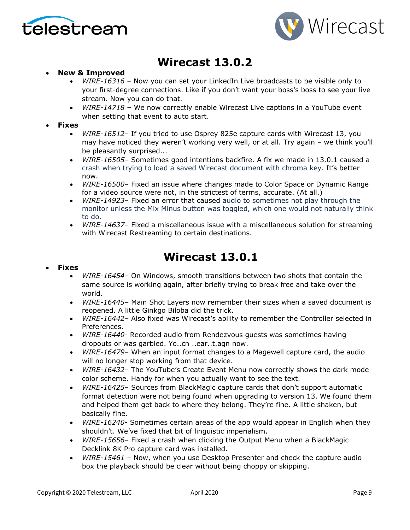



# **Wirecast 13.0.2**

### • **New & Improved**

- *WIRE-16316* Now you can set your LinkedIn Live broadcasts to be visible only to your first-degree connections. Like if you don't want your boss's boss to see your live stream. Now you can do that.
- *WIRE-14718 –* We now correctly enable Wirecast Live captions in a YouTube event when setting that event to auto start.
- **Fixes**
	- *WIRE-16512* If you tried to use Osprey 825e capture cards with Wirecast 13, you may have noticed they weren't working very well, or at all. Try again – we think you'll be pleasantly surprised...
	- *WIRE-16505* Sometimes good intentions backfire. A fix we made in 13.0.1 caused a crash when trying to load a saved Wirecast document with chroma key. It's better now.
	- *WIRE-16500* Fixed an issue where changes made to Color Space or Dynamic Range for a video source were not, in the strictest of terms, accurate. (At all.)
	- *WIRE-14923* Fixed an error that caused audio to sometimes not play through the monitor unless the Mix Minus button was toggled, which one would not naturally think to do.
	- *WIRE-14637* Fixed a miscellaneous issue with a miscellaneous solution for streaming with Wirecast Restreaming to certain destinations.

## **Wirecast 13.0.1**

### • **Fixes**

- *WIRE-16454* On Windows, smooth transitions between two shots that contain the same source is working again, after briefly trying to break free and take over the world.
- *WIRE-16445* Main Shot Layers now remember their sizes when a saved document is reopened. A little Ginkgo Biloba did the trick.
- *WIRE-16442* Also fixed was Wirecast's ability to remember the Controller selected in Preferences.
- *WIRE-16440* Recorded audio from Rendezvous guests was sometimes having dropouts or was garbled. Yo..cn ..ear..t.agn now.
- *WIRE-16479* When an input format changes to a Magewell capture card, the audio will no longer stop working from that device.
- *WIRE-16432* The YouTube's Create Event Menu now correctly shows the dark mode color scheme. Handy for when you actually want to see the text.
- *WIRE-16425* Sources from BlackMagic capture cards that don't support automatic format detection were not being found when upgrading to version 13. We found them and helped them get back to where they belong. They're fine. A little shaken, but basically fine.
- *WIRE-16240* Sometimes certain areas of the app would appear in English when they shouldn't. We've fixed that bit of linguistic imperialism.
- *WIRE-15656* Fixed a crash when clicking the Output Menu when a BlackMagic Decklink 8K Pro capture card was installed.
- *WIRE-15461* Now, when you use Desktop Presenter and check the capture audio box the playback should be clear without being choppy or skipping.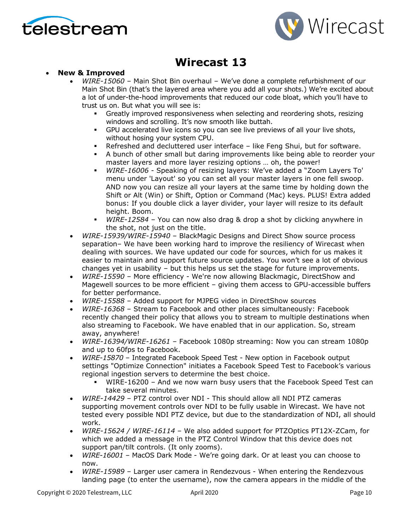



# **Wirecast 13**

### • **New & Improved**

- *WIRE-15060* Main Shot Bin overhaul We've done a complete refurbishment of our Main Shot Bin (that's the layered area where you add all your shots.) We're excited about a lot of under-the-hood improvements that reduced our code bloat, which you'll have to trust us on. But what you will see is:
	- Greatly improved responsiveness when selecting and reordering shots, resizing windows and scrolling. It's now smooth like buttah.
	- GPU accelerated live icons so you can see live previews of all your live shots, without hosing your system CPU.
	- Refreshed and decluttered user interface like Feng Shui, but for software.
	- A bunch of other small but daring improvements like being able to reorder your master layers and more layer resizing options … oh, the power!
	- *WIRE-16006* Speaking of resizing layers: We've added a "Zoom Layers To' menu under 'Layout' so you can set all your master layers in one fell swoop. AND now you can resize all your layers at the same time by holding down the Shift or Alt (Win) or Shift, Option or Command (Mac) keys. PLUS! Extra added bonus: If you double click a layer divider, your layer will resize to its default height. Boom.
	- *WIRE-12584*  You can now also drag & drop a shot by clicking anywhere in the shot, not just on the title.
- *WIRE-15939/WIRE-15940* BlackMagic Designs and Direct Show source process separation– We have been working hard to improve the resiliency of Wirecast when dealing with sources. We have updated our code for sources, which for us makes it easier to maintain and support future source updates. You won't see a lot of obvious changes yet in usability – but this helps us set the stage for future improvements.
- *WIRE-15590* More efficiency We're now allowing Blackmagic, DirectShow and Magewell sources to be more efficient – giving them access to GPU-accessible buffers for better performance.
- *WIRE-15588* Added support for MJPEG video in DirectShow sources
- *WIRE-16368*  Stream to Facebook and other places simultaneously: Facebook recently changed their policy that allows you to stream to multiple destinations when also streaming to Facebook. We have enabled that in our application. So, stream away, anywhere!
- *WIRE-16394/WIRE-16261* Facebook 1080p streaming: Now you can stream 1080p and up to 60fps to Facebook.
- *WIRE-15870*  Integrated Facebook Speed Test New option in Facebook output settings "Optimize Connection" initiates a Facebook Speed Test to Facebook's various regional ingestion servers to determine the best choice.
	- WIRE-16200 And we now warn busy users that the Facebook Speed Test can take several minutes.
- *WIRE-14429* PTZ control over NDI This should allow all NDI PTZ cameras supporting movement controls over NDI to be fully usable in Wirecast. We have not tested every possible NDI PTZ device, but due to the standardization of NDI, all should work.
- *WIRE-15624 / WIRE-16114* We also added support for PTZOptics PT12X-ZCam, for which we added a message in the PTZ Control Window that this device does not support pan/tilt controls. (It only zooms).
- *WIRE-16001*  MacOS Dark Mode We're going dark. Or at least you can choose to now.
- *WIRE-15989*  Larger user camera in Rendezvous When entering the Rendezvous landing page (to enter the username), now the camera appears in the middle of the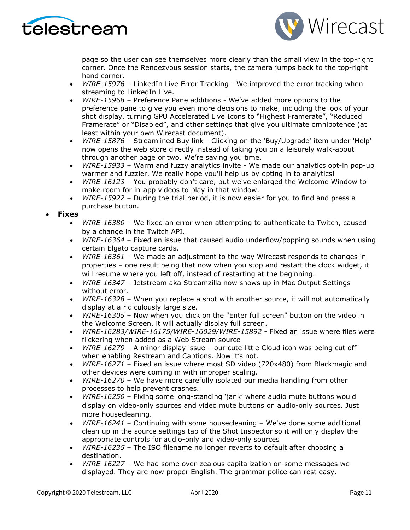



page so the user can see themselves more clearly than the small view in the top-right corner. Once the Rendezvous session starts, the camera jumps back to the top-right hand corner.

- *WIRE-15976*  LinkedIn Live Error Tracking We improved the error tracking when streaming to LinkedIn Live.
- *WIRE-15968*  Preference Pane additions We've added more options to the preference pane to give you even more decisions to make, including the look of your shot display, turning GPU Accelerated Live Icons to "Highest Framerate", "Reduced Framerate" or "Disabled", and other settings that give you ultimate omnipotence (at least within your own Wirecast document).
- *WIRE-15876* Streamlined Buy link Clicking on the 'Buy/Upgrade' item under 'Help' now opens the web store directly instead of taking you on a leisurely walk-about through another page or two. We're saving you time.
- *WIRE-15933* Warm and fuzzy analytics invite We made our analytics opt-in pop-up warmer and fuzzier. We really hope you'll help us by opting in to analytics!
- *WIRE-16123*  You probably don't care, but we've enlarged the Welcome Window to make room for in-app videos to play in that window.
- *WIRE-15922*  During the trial period, it is now easier for you to find and press a purchase button.

### • **Fixes**

- *WIRE-16380*  We fixed an error when attempting to authenticate to Twitch, caused by a change in the Twitch API.
- *WIRE-16364*  Fixed an issue that caused audio underflow/popping sounds when using certain Elgato capture cards.
- *WIRE-16361* We made an adjustment to the way Wirecast responds to changes in properties – one result being that now when you stop and restart the clock widget, it will resume where you left off, instead of restarting at the beginning.
- *WIRE-16347* Jetstream aka Streamzilla now shows up in Mac Output Settings without error.
- *WIRE-16328*  When you replace a shot with another source, it will not automatically display at a ridiculously large size.
- *WIRE-16305*  Now when you click on the "Enter full screen" button on the video in the Welcome Screen, it will actually display full screen.
- *WIRE-16283/WIRE-16175/WIRE-16029/WIRE-15892* Fixed an issue where files were flickering when added as a Web Stream source
- *WIRE-16279*  A minor display issue our cute little Cloud icon was being cut off when enabling Restream and Captions. Now it's not.
- *WIRE-16271* Fixed an issue where most SD video (720x480) from Blackmagic and other devices were coming in with improper scaling.
- *WIRE-16270* We have more carefully isolated our media handling from other processes to help prevent crashes.
- *WIRE-16250* Fixing some long-standing 'jank' where audio mute buttons would display on video-only sources and video mute buttons on audio-only sources. Just more housecleaning.
- *WIRE-16241* Continuing with some housecleaning We've done some additional clean up in the source settings tab of the Shot Inspector so it will only display the appropriate controls for audio-only and video-only sources
- *WIRE-16235* The ISO filename no longer reverts to default after choosing a destination.
- *WIRE-16227* We had some over-zealous capitalization on some messages we displayed. They are now proper English. The grammar police can rest easy.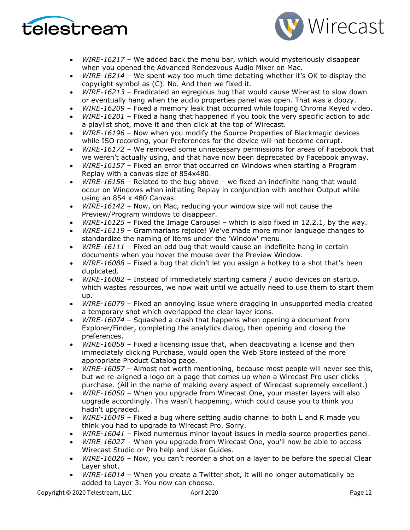



- *WIRE-16217* We added back the menu bar, which would mysteriously disappear when you opened the Advanced Rendezvous Audio Mixer on Mac.
- *WIRE-16214*  We spent way too much time debating whether it's OK to display the copyright symbol as (C). No. And then we fixed it.
- *WIRE-16213* Eradicated an egregious bug that would cause Wirecast to slow down or eventually hang when the audio properties panel was open. That was a doozy.
- *WIRE-16209* Fixed a memory leak that occurred while looping Chroma Keyed video.
- *WIRE-16201* Fixed a hang that happened if you took the very specific action to add a playlist shot, move it and then click at the top of Wirecast.
- *WIRE-16196* Now when you modify the Source Properties of Blackmagic devices while ISO recording, your Preferences for the device will not become corrupt.
- *WIRE-16172* We removed some unnecessary permissions for areas of Facebook that we weren't actually using, and that have now been deprecated by Facebook anyway.
- *WIRE-16157* Fixed an error that occurred on Windows when starting a Program Replay with a canvas size of 854x480.
- *WIRE-16156* Related to the bug above we fixed an indefinite hang that would occur on Windows when initiating Replay in conjunction with another Output while using an 854 x 480 Canvas.
- *WIRE-16142*  Now, on Mac, reducing your window size will not cause the Preview/Program windows to disappear.
- *WIRE-16125*  Fixed the Image Carousel which is also fixed in 12.2.1, by the way.
- *WIRE-16119* Grammarians rejoice! We've made more minor language changes to standardize the naming of items under the 'Window' menu.
- *WIRE-16111*  Fixed an odd bug that would cause an indefinite hang in certain documents when you hover the mouse over the Preview Window.
- *WIRE-16088* Fixed a bug that didn't let you assign a hotkey to a shot that's been duplicated.
- *WIRE-16082*  Instead of immediately starting camera / audio devices on startup, which wastes resources, we now wait until we actually need to use them to start them up.
- *WIRE-16079* Fixed an annoying issue where dragging in unsupported media created a temporary shot which overlapped the clear layer icons.
- *WIRE-16074*  Squashed a crash that happens when opening a document from Explorer/Finder, completing the analytics dialog, then opening and closing the preferences.
- *WIRE-16058*  Fixed a licensing issue that, when deactivating a license and then immediately clicking Purchase, would open the Web Store instead of the more appropriate Product Catalog page.
- *WIRE-16057* Almost not worth mentioning, because most people will never see this, but we re-aligned a logo on a page that comes up when a Wirecast Pro user clicks purchase. (All in the name of making every aspect of Wirecast supremely excellent.)
- *WIRE-16050* When you upgrade from Wirecast One, your master layers will also upgrade accordingly. This wasn't happening, which could cause you to think you hadn't upgraded.
- *WIRE-16049*  Fixed a bug where setting audio channel to both L and R made you think you had to upgrade to Wirecast Pro. Sorry.
- *WIRE-16041* Fixed numerous minor layout issues in media source properties panel.
- *WIRE-16027* When you upgrade from Wirecast One, you'll now be able to access Wirecast Studio or Pro help and User Guides.
- *WIRE-16026* Now, you can't reorder a shot on a layer to be before the special Clear Layer shot.
- *WIRE-16014*  When you create a Twitter shot, it will no longer automatically be added to Layer 3. You now can choose.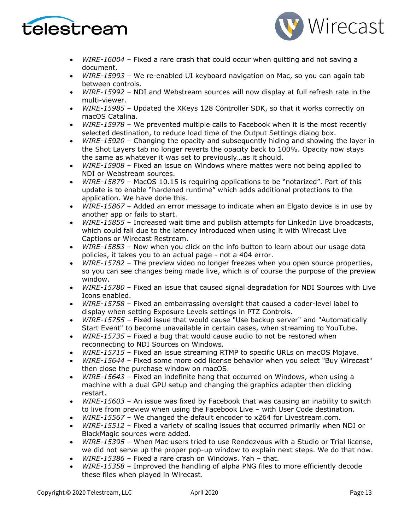



- *WIRE-16004* Fixed a rare crash that could occur when quitting and not saving a document.
- *WIRE-15993*  We re-enabled UI keyboard navigation on Mac, so you can again tab between controls.
- *WIRE-15992* NDI and Webstream sources will now display at full refresh rate in the multi-viewer.
- *WIRE-15985* Updated the XKeys 128 Controller SDK, so that it works correctly on macOS Catalina.
- *WIRE-15978* We prevented multiple calls to Facebook when it is the most recently selected destination, to reduce load time of the Output Settings dialog box.
- *WIRE-15920*  Changing the opacity and subsequently hiding and showing the layer in the Shot Layers tab no longer reverts the opacity back to 100%. Opacity now stays the same as whatever it was set to previously…as it should.
- *WIRE-15908*  Fixed an issue on Windows where mattes were not being applied to NDI or Webstream sources.
- *WIRE-15879*  MacOS 10.15 is requiring applications to be "notarized". Part of this update is to enable "hardened runtime" which adds additional protections to the application. We have done this.
- *WIRE-15867*  Added an error message to indicate when an Elgato device is in use by another app or fails to start.
- *WIRE-15855* Increased wait time and publish attempts for LinkedIn Live broadcasts, which could fail due to the latency introduced when using it with Wirecast Live Captions or Wirecast Restream.
- *WIRE-15853* Now when you click on the info button to learn about our usage data policies, it takes you to an actual page - not a 404 error.
- *WIRE-15782*  The preview video no longer freezes when you open source properties, so you can see changes being made live, which is of course the purpose of the preview window.
- *WIRE-15780*  Fixed an issue that caused signal degradation for NDI Sources with Live Icons enabled.
- *WIRE-15758*  Fixed an embarrassing oversight that caused a coder-level label to display when setting Exposure Levels settings in PTZ Controls.
- *WIRE-15755* Fixed issue that would cause "Use backup server" and "Automatically Start Event" to become unavailable in certain cases, when streaming to YouTube.
- *WIRE-15735*  Fixed a bug that would cause audio to not be restored when reconnecting to NDI Sources on Windows.
- *WIRE-15715*  Fixed an issue streaming RTMP to specific URLs on macOS Mojave.
- *WIRE-15644*  Fixed some more odd license behavior when you select "Buy Wirecast" then close the purchase window on macOS.
- *WIRE-15643* Fixed an indefinite hang that occurred on Windows, when using a machine with a dual GPU setup and changing the graphics adapter then clicking restart.
- *WIRE-15603* An issue was fixed by Facebook that was causing an inability to switch to live from preview when using the Facebook Live – with User Code destination.
- *WIRE-15567* We changed the default encoder to x264 for Livestream.com.
- *WIRE-15512*  Fixed a variety of scaling issues that occurred primarily when NDI or BlackMagic sources were added.
- *WIRE-15395* When Mac users tried to use Rendezvous with a Studio or Trial license, we did not serve up the proper pop-up window to explain next steps. We do that now.
- *WIRE-15386*  Fixed a rare crash on Windows. Yah that.
- *WIRE-15358*  Improved the handling of alpha PNG files to more efficiently decode these files when played in Wirecast.